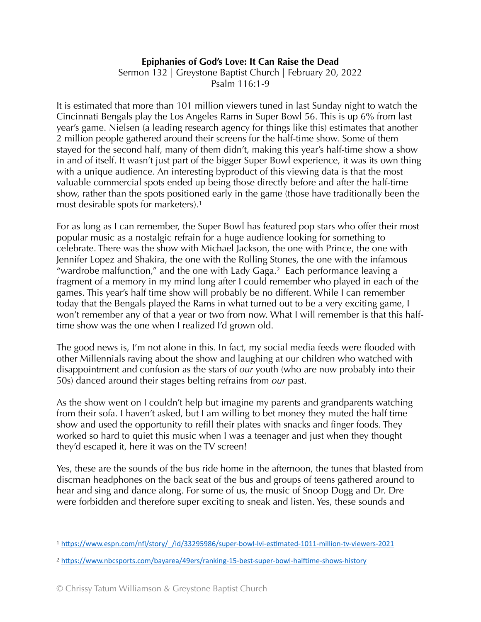## **Epiphanies of God's Love: It Can Raise the Dead**

Sermon 132 | Greystone Baptist Church | February 20, 2022 Psalm 116:1-9

It is estimated that more than 101 million viewers tuned in last Sunday night to watch the Cincinnati Bengals play the Los Angeles Rams in Super Bowl 56. This is up 6% from last year's game. Nielsen (a leading research agency for things like this) estimates that another 2 million people gathered around their screens for the half-time show. Some of them stayed for the second half, many of them didn't, making this year's half-time show a show in and of itself. It wasn't just part of the bigger Super Bowl experience, it was its own thing with a unique audience. An interesting byproduct of this viewing data is that the most valuable commercial spots ended up being those directly before and after the half-time show, rather than the spots positioned early in the game (those have traditionally been the most desirable spots for marketers)[.1](#page-0-0)

<span id="page-0-3"></span><span id="page-0-2"></span>For as long as I can remember, the Super Bowl has featured pop stars who offer their most popular music as a nostalgic refrain for a huge audience looking for something to celebrate. There was the show with Michael Jackson, the one with Prince, the one with Jennifer Lopez and Shakira, the one with the Rolling Stones, the one with the infamous "wardrobe malfunction," and the one with Lady Gaga.<sup>[2](#page-0-1)</sup> Each performance leaving a fragment of a memory in my mind long after I could remember who played in each of the games. This year's half time show will probably be no different. While I can remember today that the Bengals played the Rams in what turned out to be a very exciting game, I won't remember any of that a year or two from now. What I will remember is that this halftime show was the one when I realized I'd grown old.

The good news is, I'm not alone in this. In fact, my social media feeds were flooded with other Millennials raving about the show and laughing at our children who watched with disappointment and confusion as the stars of *our* youth (who are now probably into their 50s) danced around their stages belting refrains from *our* past.

As the show went on I couldn't help but imagine my parents and grandparents watching from their sofa. I haven't asked, but I am willing to bet money they muted the half time show and used the opportunity to refill their plates with snacks and finger foods. They worked so hard to quiet this music when I was a teenager and just when they thought they'd escaped it, here it was on the TV screen!

Yes, these are the sounds of the bus ride home in the afternoon, the tunes that blasted from discman headphones on the back seat of the bus and groups of teens gathered around to hear and sing and dance along. For some of us, the music of Snoop Dogg and Dr. Dre were forbidden and therefore super exciting to sneak and listen. Yes, these sounds and

<span id="page-0-0"></span>[<sup>1</sup>](#page-0-2) [https://www.espn.com/nfl/story/\\_/id/33295986/super-bowl-lvi-estimated-1011-million-tv-viewers-2021](https://www.espn.com/nfl/story/_/id/33295986/super-bowl-lvi-estimated-1011-million-tv-viewers-2021)

<span id="page-0-1"></span><https://www.nbcsports.com/bayarea/49ers/ranking-15-best-super-bowl-halftime-shows-history> [2](#page-0-3)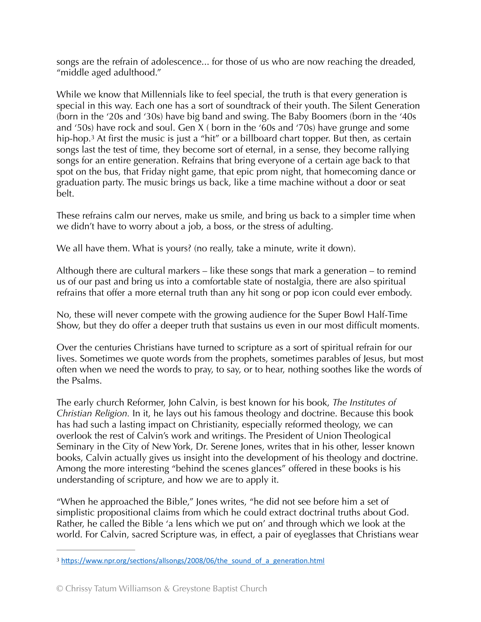songs are the refrain of adolescence... for those of us who are now reaching the dreaded, "middle aged adulthood."

<span id="page-1-1"></span>While we know that Millennials like to feel special, the truth is that every generation is special in this way. Each one has a sort of soundtrack of their youth. The Silent Generation (born in the '20s and '30s) have big band and swing. The Baby Boomers (born in the '40s and '50s) have rock and soul. Gen X ( born in the '60s and '70s) have grunge and some hip-hop[.](#page-1-0)<sup>[3](#page-1-0)</sup> At first the music is just a "hit" or a billboard chart topper. But then, as certain songs last the test of time, they become sort of eternal, in a sense, they become rallying songs for an entire generation. Refrains that bring everyone of a certain age back to that spot on the bus, that Friday night game, that epic prom night, that homecoming dance or graduation party. The music brings us back, like a time machine without a door or seat belt.

These refrains calm our nerves, make us smile, and bring us back to a simpler time when we didn't have to worry about a job, a boss, or the stress of adulting.

We all have them. What is yours? (no really, take a minute, write it down).

Although there are cultural markers – like these songs that mark a generation – to remind us of our past and bring us into a comfortable state of nostalgia, there are also spiritual refrains that offer a more eternal truth than any hit song or pop icon could ever embody.

No, these will never compete with the growing audience for the Super Bowl Half-Time Show, but they do offer a deeper truth that sustains us even in our most difficult moments.

Over the centuries Christians have turned to scripture as a sort of spiritual refrain for our lives. Sometimes we quote words from the prophets, sometimes parables of Jesus, but most often when we need the words to pray, to say, or to hear, nothing soothes like the words of the Psalms.

The early church Reformer, John Calvin, is best known for his book, *The Institutes of Christian Religion.* In it, he lays out his famous theology and doctrine. Because this book has had such a lasting impact on Christianity, especially reformed theology, we can overlook the rest of Calvin's work and writings. The President of Union Theological Seminary in the City of New York, Dr. Serene Jones, writes that in his other, lesser known books, Calvin actually gives us insight into the development of his theology and doctrine. Among the more interesting "behind the scenes glances" offered in these books is his understanding of scripture, and how we are to apply it.

"When he approached the Bible," Jones writes, "he did not see before him a set of simplistic propositional claims from which he could extract doctrinal truths about God. Rather, he called the Bible 'a lens which we put on' and through which we look at the world. For Calvin, sacred Scripture was, in effect, a pair of eyeglasses that Christians wear

<span id="page-1-0"></span><sup>&</sup>lt;sup>3</sup> [https://www.npr.org/sections/allsongs/2008/06/the\\_sound\\_of\\_a\\_generation.html](https://www.npr.org/sections/allsongs/2008/06/the_sound_of_a_generation.html)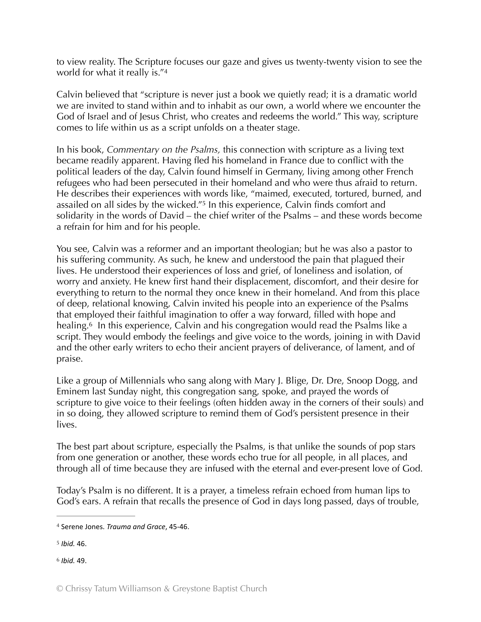<span id="page-2-3"></span>to view reality. The Scripture focuses our gaze and gives us twenty-twenty vision to see the world for what it really is.["4](#page-2-0)

Calvin believed that "scripture is never just a book we quietly read; it is a dramatic world we are invited to stand within and to inhabit as our own, a world where we encounter the God of Israel and of Jesus Christ, who creates and redeems the world." This way, scripture comes to life within us as a script unfolds on a theater stage.

In his book, *Commentary on the Psalms,* this connection with scripture as a living text became readily apparent. Having fled his homeland in France due to conflict with the political leaders of the day, Calvin found himself in Germany, living among other French refugees who had been persecuted in their homeland and who were thus afraid to return. He describes their experiences with words like, "maimed, executed, tortured, burned, and assailed on all sides by the wicked."<sup>[5](#page-2-1)</sup> In this experience, Calvin finds comfort and solidarity in the words of David – the chief writer of the Psalms – and these words become a refrain for him and for his people.

<span id="page-2-4"></span>You see, Calvin was a reformer and an important theologian; but he was also a pastor to his suffering community. As such, he knew and understood the pain that plagued their lives. He understood their experiences of loss and grief, of loneliness and isolation, of worry and anxiety. He knew first hand their displacement, discomfort, and their desire for everything to return to the normal they once knew in their homeland. And from this place of deep, relational knowing, Calvin invited his people into an experience of the Psalms that employed their faithful imagination to offer a way forward, filled with hope and healing.<sup>[6](#page-2-2)</sup> In this experience, Calvin and his congregation would read the Psalms like a script. They would embody the feelings and give voice to the words, joining in with David and the other early writers to echo their ancient prayers of deliverance, of lament, and of praise.

<span id="page-2-5"></span>Like a group of Millennials who sang along with Mary J. Blige, Dr. Dre, Snoop Dogg, and Eminem last Sunday night, this congregation sang, spoke, and prayed the words of scripture to give voice to their feelings (often hidden away in the corners of their souls) and in so doing, they allowed scripture to remind them of God's persistent presence in their lives.

The best part about scripture, especially the Psalms, is that unlike the sounds of pop stars from one generation or another, these words echo true for all people, in all places, and through all of time because they are infused with the eternal and ever-present love of God.

Today's Psalm is no different. It is a prayer, a timeless refrain echoed from human lips to God's ears. A refrain that recalls the presence of God in days long passed, days of trouble,

<span id="page-2-2"></span>*Ibid.* 49. [6](#page-2-5)

<span id="page-2-0"></span><sup>&</sup>lt;sup>[4](#page-2-3)</sup> Serene Jones. *Trauma and Grace*, 45-46.

<span id="page-2-1"></span>*Ibid.* 46. [5](#page-2-4)